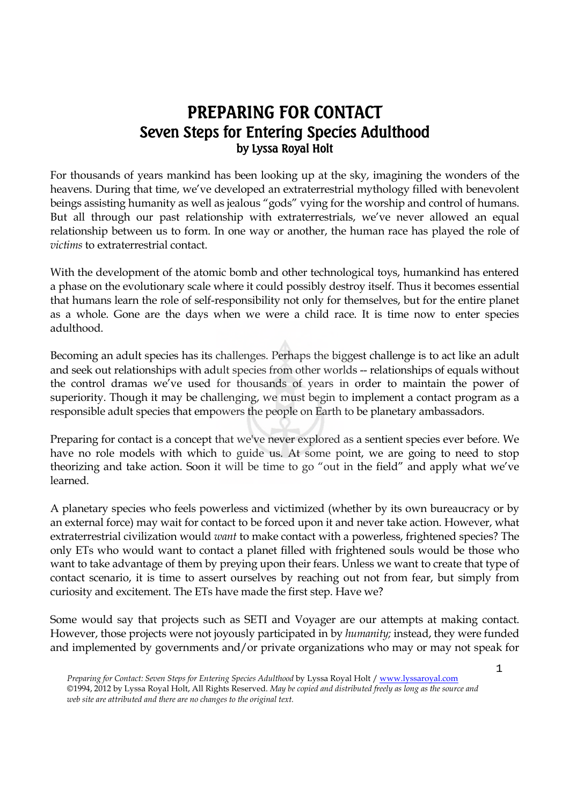## **PREPARING FOR CONTACT Seven Steps for Entering Species Adulthood** by Lyssa Royal Holt

For thousands of years mankind has been looking up at the sky, imagining the wonders of the heavens. During that time, we've developed an extraterrestrial mythology filled with benevolent beings assisting humanity as well as jealous "gods" vying for the worship and control of humans. But all through our past relationship with extraterrestrials, we've never allowed an equal relationship between us to form. In one way or another, the human race has played the role of *victims* to extraterrestrial contact.

With the development of the atomic bomb and other technological toys, humankind has entered a phase on the evolutionary scale where it could possibly destroy itself. Thus it becomes essential that humans learn the role of self-responsibility not only for themselves, but for the entire planet as a whole. Gone are the days when we were a child race. It is time now to enter species adulthood.

Becoming an adult species has its challenges. Perhaps the biggest challenge is to act like an adult and seek out relationships with adult species from other worlds -- relationships of equals without the control dramas we've used for thousands of years in order to maintain the power of superiority. Though it may be challenging, we must begin to implement a contact program as a responsible adult species that empowers the people on Earth to be planetary ambassadors.

Preparing for contact is a concept that we've never explored as a sentient species ever before. We have no role models with which to guide us. At some point, we are going to need to stop theorizing and take action. Soon it will be time to go "out in the field" and apply what we've learned.

A planetary species who feels powerless and victimized (whether by its own bureaucracy or by an external force) may wait for contact to be forced upon it and never take action. However, what extraterrestrial civilization would *want* to make contact with a powerless, frightened species? The only ETs who would want to contact a planet filled with frightened souls would be those who want to take advantage of them by preying upon their fears. Unless we want to create that type of contact scenario, it is time to assert ourselves by reaching out not from fear, but simply from curiosity and excitement. The ETs have made the first step. Have we?

Some would say that projects such as SETI and Voyager are our attempts at making contact. However, those projects were not joyously participated in by *humanity;* instead, they were funded and implemented by governments and/or private organizations who may or may not speak for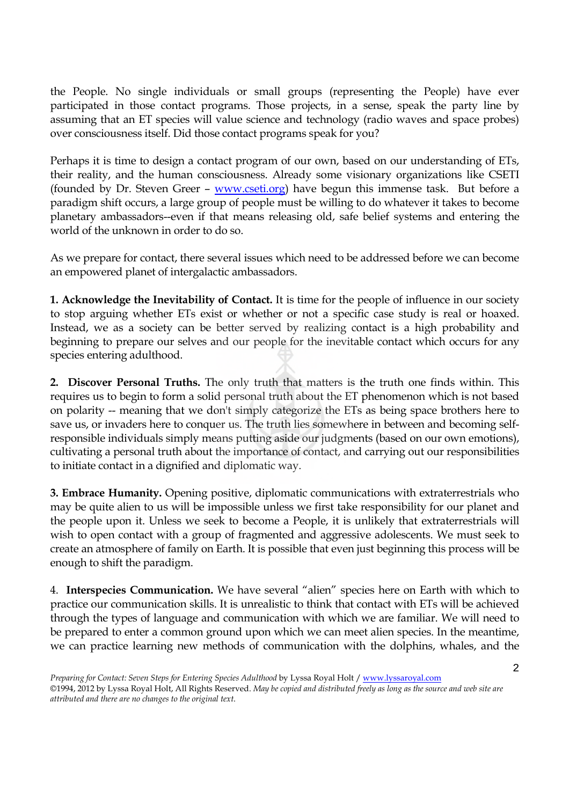the People. No single individuals or small groups (representing the People) have ever participated in those contact programs. Those projects, in a sense, speak the party line by assuming that an ET species will value science and technology (radio waves and space probes) over consciousness itself. Did those contact programs speak for you?

Perhaps it is time to design a contact program of our own, based on our understanding of ETs, their reality, and the human consciousness. Already some visionary organizations like CSETI (founded by Dr. Steven Greer – www.cseti.org) have begun this immense task. But before a paradigm shift occurs, a large group of people must be willing to do whatever it takes to become planetary ambassadors--even if that means releasing old, safe belief systems and entering the world of the unknown in order to do so.

As we prepare for contact, there several issues which need to be addressed before we can become an empowered planet of intergalactic ambassadors.

**1. Acknowledge the Inevitability of Contact.** It is time for the people of influence in our society to stop arguing whether ETs exist or whether or not a specific case study is real or hoaxed. Instead, we as a society can be better served by realizing contact is a high probability and beginning to prepare our selves and our people for the inevitable contact which occurs for any species entering adulthood.

**2. Discover Personal Truths.** The only truth that matters is the truth one finds within. This requires us to begin to form a solid personal truth about the ET phenomenon which is not based on polarity -- meaning that we don't simply categorize the ETs as being space brothers here to save us, or invaders here to conquer us. The truth lies somewhere in between and becoming selfresponsible individuals simply means putting aside our judgments (based on our own emotions), cultivating a personal truth about the importance of contact, and carrying out our responsibilities to initiate contact in a dignified and diplomatic way.

**3. Embrace Humanity.** Opening positive, diplomatic communications with extraterrestrials who may be quite alien to us will be impossible unless we first take responsibility for our planet and the people upon it. Unless we seek to become a People, it is unlikely that extraterrestrials will wish to open contact with a group of fragmented and aggressive adolescents. We must seek to create an atmosphere of family on Earth. It is possible that even just beginning this process will be enough to shift the paradigm.

4. **Interspecies Communication.** We have several "alien" species here on Earth with which to practice our communication skills. It is unrealistic to think that contact with ETs will be achieved through the types of language and communication with which we are familiar. We will need to be prepared to enter a common ground upon which we can meet alien species. In the meantime, we can practice learning new methods of communication with the dolphins, whales, and the